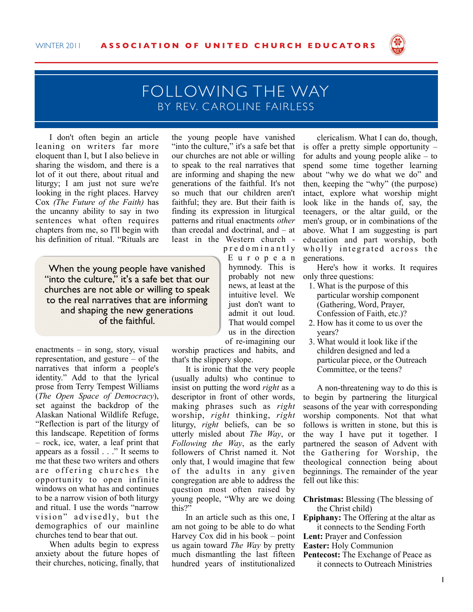

## FOLLOWING THE WAY BY REV. C AROLINE FAIRLESS

I don't often begin an article leaning on writers far more eloquent than I, but I also believe in sharing the wisdom, and there is a lot of it out there, about ritual and liturgy; I am just not sure we're looking in the right places. Harvey Cox *(The Future of the Faith)* has the uncanny ability to say in two sentences what often requires chapters from me, so I'll begin with his definition of ritual. "Rituals are

When the young people have vanished "into the culture," it's a safe bet that our churches are not able or willing to speak to the real narratives that are informing and shaping the new generations of the faithful.

enactments – in song, story, visual representation, and gesture – of the narratives that inform a people's identity." Add to that the lyrical prose from Terry Tempest Williams (*The Open Space of Democracy*), set against the backdrop of the Alaskan National Wildlife Refuge, "Reflection is part of the liturgy of this landscape. Repetition of forms – rock, ice, water, a leaf print that appears as a fossil . . ." It seems to me that these two writers and others are offering churches the opportunity to open infinite windows on what has and continues to be a narrow vision of both liturgy and ritual. I use the words "narrow vision" advisedly, but the demographics of our mainline churches tend to bear that out.

When adults begin to express anxiety about the future hopes of their churches, noticing, finally, that the young people have vanished "into the culture," it's a safe bet that our churches are not able or willing to speak to the real narratives that are informing and shaping the new generations of the faithful. It's not so much that our children aren't faithful; they are. But their faith is finding its expression in liturgical patterns and ritual enactments *other* than creedal and doctrinal, and – at least in the Western church -

> p r e d o m i n a n t l y E u r o p e a n hymnody. This is probably not new news, at least at the intuitive level. We just don't want to admit it out loud. That would compel us in the direction of re-imagining our

worship practices and habits, and that's the slippery slope.

It is ironic that the very people (usually adults) who continue to insist on putting the word *right* as a descriptor in front of other words, making phrases such as *right* worship, *right* thinking, *right* liturgy, *right* beliefs, can be so utterly misled about *The Way*, or *Following the Way*, as the early followers of Christ named it. Not only that, I would imagine that few of the adults in any given congregation are able to address the question most often raised by young people, "Why are we doing this?"

In an article such as this one, I am not going to be able to do what Harvey Cox did in his book – point us again toward *The Way* by pretty much dismantling the last fifteen hundred years of institutionalized

clericalism. What I can do, though, is offer a pretty simple opportunity – for adults and young people alike – to spend some time together learning about "why we do what we do" and then, keeping the "why" (the purpose) intact, explore what worship might look like in the hands of, say, the teenagers, or the altar guild, or the men's group, or in combinations of the above. What I am suggesting is part education and part worship, both wholly integrated across the generations.

Here's how it works. It requires only three questions:

- 1. What is the purpose of this particular worship component (Gathering, Word, Prayer, Confession of Faith, etc.)?
- 2. How has it come to us over the years?
- 3. What would it look like if the children designed and led a particular piece, or the Outreach Committee, or the teens?

A non-threatening way to do this is to begin by partnering the liturgical seasons of the year with corresponding worship components. Not that what follows is written in stone, but this is the way I have put it together. I partnered the season of Advent with the Gathering for Worship, the theological connection being about beginnings. The remainder of the year fell out like this:

**Christmas:** Blessing (The blessing of the Christ child)

**Epiphany:** The Offering at the altar as it connects to the Sending Forth

**Lent:** Prayer and Confession

**Easter:** Holy Communion

**Pentecost:** The Exchange of Peace as it connects to Outreach Ministries